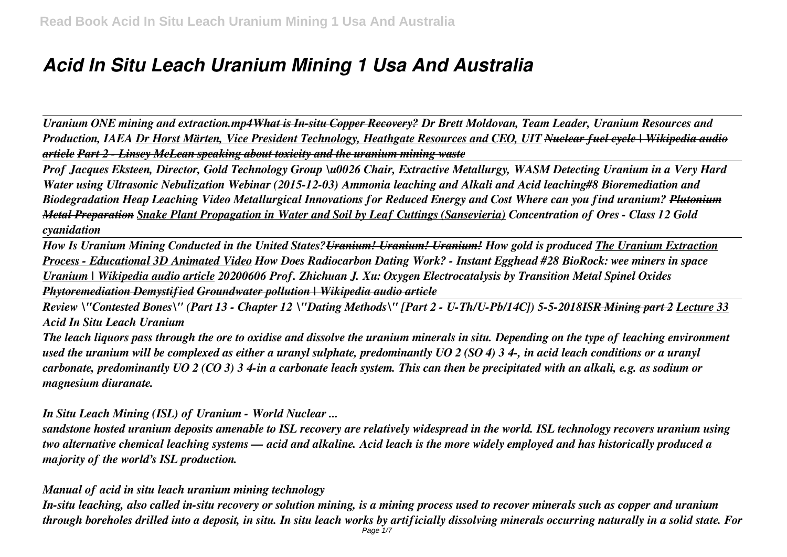# *Acid In Situ Leach Uranium Mining 1 Usa And Australia*

*Uranium ONE mining and extraction.mp4What is In-situ Copper Recovery? Dr Brett Moldovan, Team Leader, Uranium Resources and Production, IAEA Dr Horst Märten, Vice President Technology, Heathgate Resources and CEO, UIT Nuclear fuel cycle | Wikipedia audio article Part 2 - Linsey McLean speaking about toxicity and the uranium mining waste*

*Prof Jacques Eksteen, Director, Gold Technology Group \u0026 Chair, Extractive Metallurgy, WASM Detecting Uranium in a Very Hard Water using Ultrasonic Nebulization Webinar (2015-12-03) Ammonia leaching and Alkali and Acid leaching#8 Bioremediation and Biodegradation Heap Leaching Video Metallurgical Innovations for Reduced Energy and Cost Where can you find uranium? Plutonium Metal Preparation Snake Plant Propagation in Water and Soil by Leaf Cuttings (Sansevieria) Concentration of Ores - Class 12 Gold cyanidation*

*How Is Uranium Mining Conducted in the United States?Uranium! Uranium! Uranium! How gold is produced The Uranium Extraction Process - Educational 3D Animated Video How Does Radiocarbon Dating Work? - Instant Egghead #28 BioRock: wee miners in space Uranium | Wikipedia audio article 20200606 Prof. Zhichuan J. Xu: Oxygen Electrocatalysis by Transition Metal Spinel Oxides Phytoremediation Demystified Groundwater pollution | Wikipedia audio article*

*Review \"Contested Bones\" (Part 13 - Chapter 12 \"Dating Methods\" [Part 2 - U-Th/U-Pb/14C]) 5-5-2018ISR Mining part 2 Lecture 33 Acid In Situ Leach Uranium*

*The leach liquors pass through the ore to oxidise and dissolve the uranium minerals in situ. Depending on the type of leaching environment used the uranium will be complexed as either a uranyl sulphate, predominantly UO 2 (SO 4) 3 4-, in acid leach conditions or a uranyl carbonate, predominantly UO 2 (CO 3) 3 4-in a carbonate leach system. This can then be precipitated with an alkali, e.g. as sodium or magnesium diuranate.*

*In Situ Leach Mining (ISL) of Uranium - World Nuclear ...*

*sandstone hosted uranium deposits amenable to ISL recovery are relatively widespread in the world. ISL technology recovers uranium using two alternative chemical leaching systems — acid and alkaline. Acid leach is the more widely employed and has historically produced a majority of the world's ISL production.*

*Manual of acid in situ leach uranium mining technology*

*In-situ leaching, also called in-situ recovery or solution mining, is a mining process used to recover minerals such as copper and uranium through boreholes drilled into a deposit, in situ. In situ leach works by artificially dissolving minerals occurring naturally in a solid state. For* Page 1/7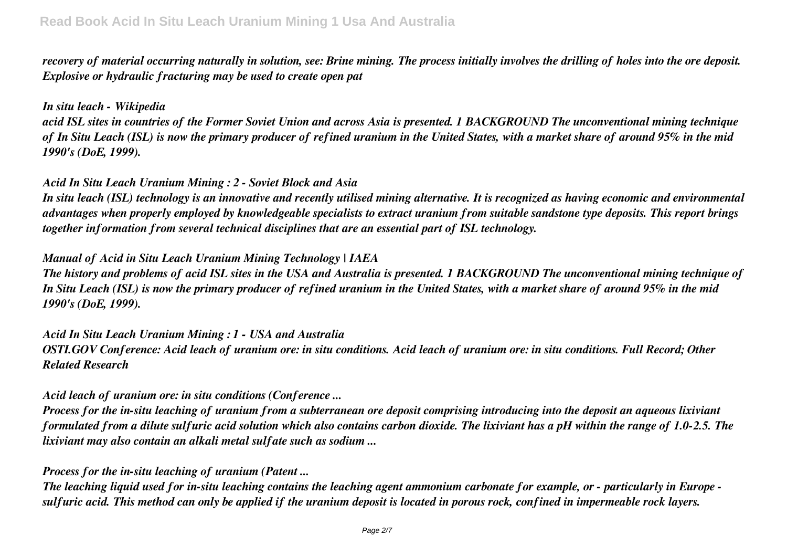*recovery of material occurring naturally in solution, see: Brine mining. The process initially involves the drilling of holes into the ore deposit. Explosive or hydraulic fracturing may be used to create open pat*

## *In situ leach - Wikipedia*

*acid ISL sites in countries of the Former Soviet Union and across Asia is presented. 1 BACKGROUND The unconventional mining technique of In Situ Leach (ISL) is now the primary producer of refined uranium in the United States, with a market share of around 95% in the mid 1990's (DoE, 1999).*

## *Acid In Situ Leach Uranium Mining : 2 - Soviet Block and Asia*

*In situ leach (ISL) technology is an innovative and recently utilised mining alternative. It is recognized as having economic and environmental advantages when properly employed by knowledgeable specialists to extract uranium from suitable sandstone type deposits. This report brings together information from several technical disciplines that are an essential part of ISL technology.*

## *Manual of Acid in Situ Leach Uranium Mining Technology | IAEA*

*The history and problems of acid ISL sites in the USA and Australia is presented. 1 BACKGROUND The unconventional mining technique of In Situ Leach (ISL) is now the primary producer of refined uranium in the United States, with a market share of around 95% in the mid 1990's (DoE, 1999).*

*Acid In Situ Leach Uranium Mining : 1 - USA and Australia OSTI.GOV Conference: Acid leach of uranium ore: in situ conditions. Acid leach of uranium ore: in situ conditions. Full Record; Other Related Research*

# *Acid leach of uranium ore: in situ conditions (Conference ...*

*Process for the in-situ leaching of uranium from a subterranean ore deposit comprising introducing into the deposit an aqueous lixiviant formulated from a dilute sulfuric acid solution which also contains carbon dioxide. The lixiviant has a pH within the range of 1.0-2.5. The lixiviant may also contain an alkali metal sulfate such as sodium ...*

# *Process for the in-situ leaching of uranium (Patent ...*

*The leaching liquid used for in-situ leaching contains the leaching agent ammonium carbonate for example, or - particularly in Europe sulfuric acid. This method can only be applied if the uranium deposit is located in porous rock, confined in impermeable rock layers.*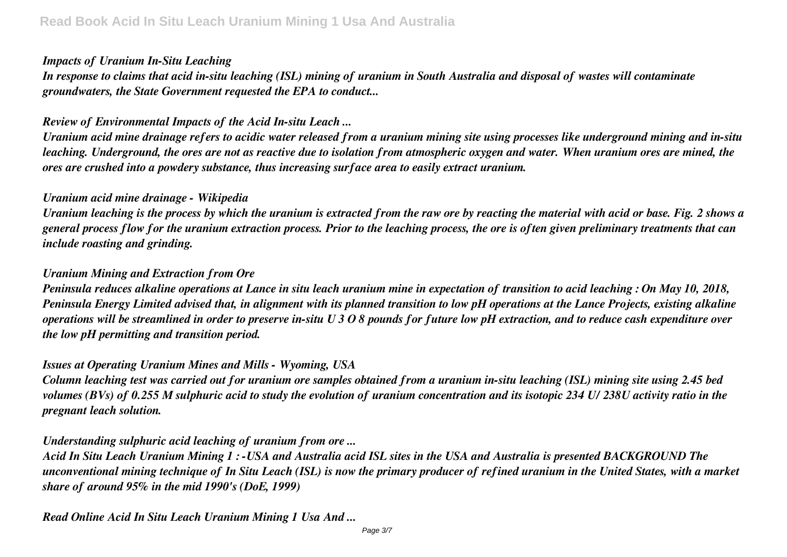## *Impacts of Uranium In-Situ Leaching*

*In response to claims that acid in-situ leaching (ISL) mining of uranium in South Australia and disposal of wastes will contaminate groundwaters, the State Government requested the EPA to conduct...*

# *Review of Environmental Impacts of the Acid In-situ Leach ...*

*Uranium acid mine drainage refers to acidic water released from a uranium mining site using processes like underground mining and in-situ leaching. Underground, the ores are not as reactive due to isolation from atmospheric oxygen and water. When uranium ores are mined, the ores are crushed into a powdery substance, thus increasing surface area to easily extract uranium.*

# *Uranium acid mine drainage - Wikipedia*

*Uranium leaching is the process by which the uranium is extracted from the raw ore by reacting the material with acid or base. Fig. 2 shows a general process flow for the uranium extraction process. Prior to the leaching process, the ore is often given preliminary treatments that can include roasting and grinding.*

# *Uranium Mining and Extraction from Ore*

*Peninsula reduces alkaline operations at Lance in situ leach uranium mine in expectation of transition to acid leaching : On May 10, 2018, Peninsula Energy Limited advised that, in alignment with its planned transition to low pH operations at the Lance Projects, existing alkaline operations will be streamlined in order to preserve in-situ U 3 O 8 pounds for future low pH extraction, and to reduce cash expenditure over the low pH permitting and transition period.*

# *Issues at Operating Uranium Mines and Mills - Wyoming, USA*

*Column leaching test was carried out for uranium ore samples obtained from a uranium in-situ leaching (ISL) mining site using 2.45 bed volumes (BVs) of 0.255 M sulphuric acid to study the evolution of uranium concentration and its isotopic 234 U/ 238U activity ratio in the pregnant leach solution.*

# *Understanding sulphuric acid leaching of uranium from ore ...*

*Acid In Situ Leach Uranium Mining 1 : -USA and Australia acid ISL sites in the USA and Australia is presented BACKGROUND The unconventional mining technique of In Situ Leach (ISL) is now the primary producer of refined uranium in the United States, with a market share of around 95% in the mid 1990's (DoE, 1999)*

*Read Online Acid In Situ Leach Uranium Mining 1 Usa And ...*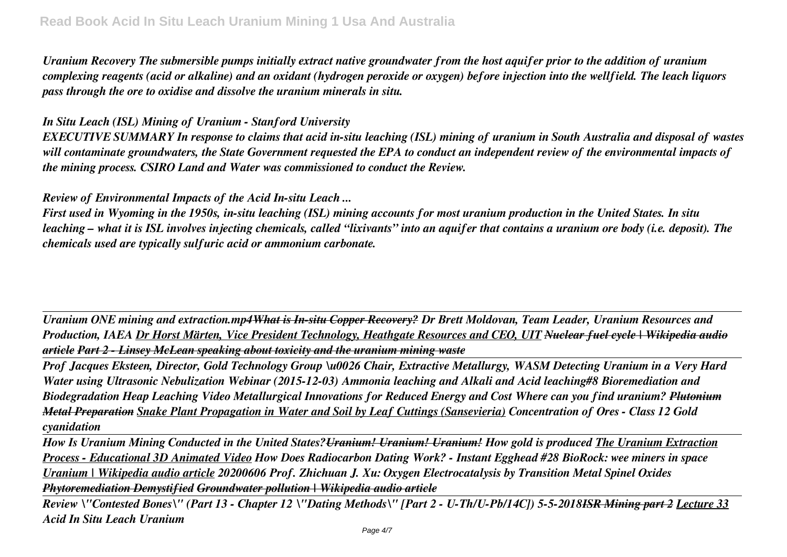*Uranium Recovery The submersible pumps initially extract native groundwater from the host aquifer prior to the addition of uranium complexing reagents (acid or alkaline) and an oxidant (hydrogen peroxide or oxygen) before injection into the wellfield. The leach liquors pass through the ore to oxidise and dissolve the uranium minerals in situ.*

## *In Situ Leach (ISL) Mining of Uranium - Stanford University*

*EXECUTIVE SUMMARY In response to claims that acid in-situ leaching (ISL) mining of uranium in South Australia and disposal of wastes will contaminate groundwaters, the State Government requested the EPA to conduct an independent review of the environmental impacts of the mining process. CSIRO Land and Water was commissioned to conduct the Review.*

*Review of Environmental Impacts of the Acid In-situ Leach ...*

*First used in Wyoming in the 1950s, in-situ leaching (ISL) mining accounts for most uranium production in the United States. In situ leaching – what it is ISL involves injecting chemicals, called "lixivants" into an aquifer that contains a uranium ore body (i.e. deposit). The chemicals used are typically sulfuric acid or ammonium carbonate.*

*Uranium ONE mining and extraction.mp4What is In-situ Copper Recovery? Dr Brett Moldovan, Team Leader, Uranium Resources and Production, IAEA Dr Horst Märten, Vice President Technology, Heathgate Resources and CEO, UIT Nuclear fuel cycle | Wikipedia audio article Part 2 - Linsey McLean speaking about toxicity and the uranium mining waste*

*Prof Jacques Eksteen, Director, Gold Technology Group \u0026 Chair, Extractive Metallurgy, WASM Detecting Uranium in a Very Hard Water using Ultrasonic Nebulization Webinar (2015-12-03) Ammonia leaching and Alkali and Acid leaching#8 Bioremediation and Biodegradation Heap Leaching Video Metallurgical Innovations for Reduced Energy and Cost Where can you find uranium? Plutonium Metal Preparation Snake Plant Propagation in Water and Soil by Leaf Cuttings (Sansevieria) Concentration of Ores - Class 12 Gold cyanidation*

*How Is Uranium Mining Conducted in the United States?Uranium! Uranium! Uranium! How gold is produced The Uranium Extraction Process - Educational 3D Animated Video How Does Radiocarbon Dating Work? - Instant Egghead #28 BioRock: wee miners in space Uranium | Wikipedia audio article 20200606 Prof. Zhichuan J. Xu: Oxygen Electrocatalysis by Transition Metal Spinel Oxides Phytoremediation Demystified Groundwater pollution | Wikipedia audio article*

*Review \"Contested Bones\" (Part 13 - Chapter 12 \"Dating Methods\" [Part 2 - U-Th/U-Pb/14C]) 5-5-2018ISR Mining part 2 Lecture 33 Acid In Situ Leach Uranium*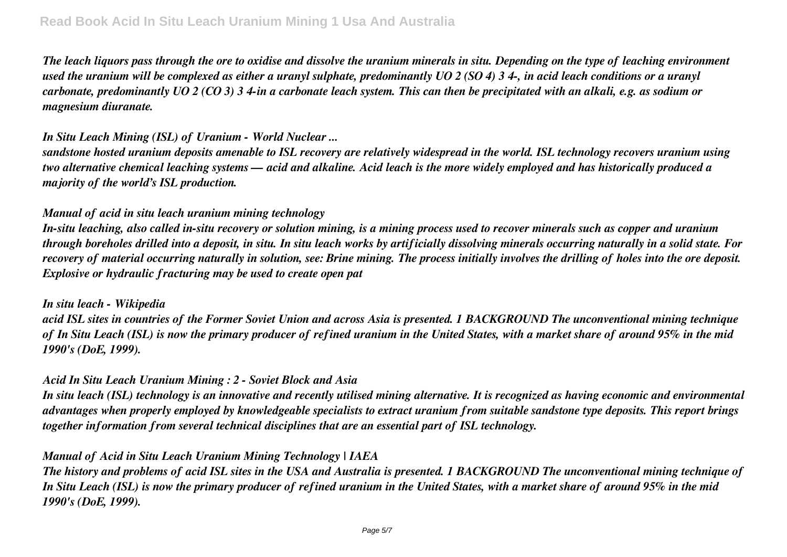*The leach liquors pass through the ore to oxidise and dissolve the uranium minerals in situ. Depending on the type of leaching environment used the uranium will be complexed as either a uranyl sulphate, predominantly UO 2 (SO 4) 3 4-, in acid leach conditions or a uranyl carbonate, predominantly UO 2 (CO 3) 3 4-in a carbonate leach system. This can then be precipitated with an alkali, e.g. as sodium or magnesium diuranate.*

# *In Situ Leach Mining (ISL) of Uranium - World Nuclear ...*

*sandstone hosted uranium deposits amenable to ISL recovery are relatively widespread in the world. ISL technology recovers uranium using two alternative chemical leaching systems — acid and alkaline. Acid leach is the more widely employed and has historically produced a majority of the world's ISL production.*

## *Manual of acid in situ leach uranium mining technology*

*In-situ leaching, also called in-situ recovery or solution mining, is a mining process used to recover minerals such as copper and uranium through boreholes drilled into a deposit, in situ. In situ leach works by artificially dissolving minerals occurring naturally in a solid state. For recovery of material occurring naturally in solution, see: Brine mining. The process initially involves the drilling of holes into the ore deposit. Explosive or hydraulic fracturing may be used to create open pat*

#### *In situ leach - Wikipedia*

*acid ISL sites in countries of the Former Soviet Union and across Asia is presented. 1 BACKGROUND The unconventional mining technique of In Situ Leach (ISL) is now the primary producer of refined uranium in the United States, with a market share of around 95% in the mid 1990's (DoE, 1999).*

# *Acid In Situ Leach Uranium Mining : 2 - Soviet Block and Asia*

*In situ leach (ISL) technology is an innovative and recently utilised mining alternative. It is recognized as having economic and environmental advantages when properly employed by knowledgeable specialists to extract uranium from suitable sandstone type deposits. This report brings together information from several technical disciplines that are an essential part of ISL technology.*

# *Manual of Acid in Situ Leach Uranium Mining Technology | IAEA*

*The history and problems of acid ISL sites in the USA and Australia is presented. 1 BACKGROUND The unconventional mining technique of In Situ Leach (ISL) is now the primary producer of refined uranium in the United States, with a market share of around 95% in the mid 1990's (DoE, 1999).*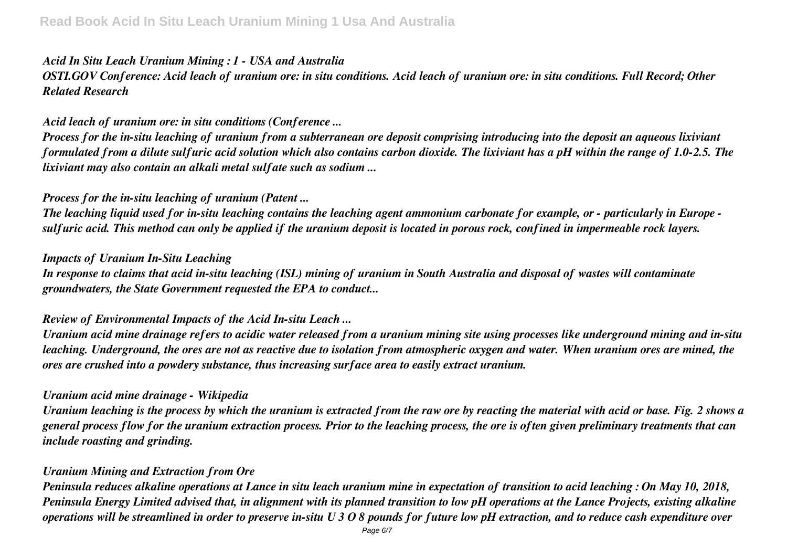### *Acid In Situ Leach Uranium Mining : 1 - USA and Australia*

# *OSTI.GOV Conference: Acid leach of uranium ore: in situ conditions. Acid leach of uranium ore: in situ conditions. Full Record; Other Related Research*

#### *Acid leach of uranium ore: in situ conditions (Conference ...*

*Process for the in-situ leaching of uranium from a subterranean ore deposit comprising introducing into the deposit an aqueous lixiviant formulated from a dilute sulfuric acid solution which also contains carbon dioxide. The lixiviant has a pH within the range of 1.0-2.5. The lixiviant may also contain an alkali metal sulfate such as sodium ...*

#### *Process for the in-situ leaching of uranium (Patent ...*

*The leaching liquid used for in-situ leaching contains the leaching agent ammonium carbonate for example, or - particularly in Europe sulfuric acid. This method can only be applied if the uranium deposit is located in porous rock, confined in impermeable rock layers.*

#### *Impacts of Uranium In-Situ Leaching*

*In response to claims that acid in-situ leaching (ISL) mining of uranium in South Australia and disposal of wastes will contaminate groundwaters, the State Government requested the EPA to conduct...*

#### *Review of Environmental Impacts of the Acid In-situ Leach ...*

*Uranium acid mine drainage refers to acidic water released from a uranium mining site using processes like underground mining and in-situ leaching. Underground, the ores are not as reactive due to isolation from atmospheric oxygen and water. When uranium ores are mined, the ores are crushed into a powdery substance, thus increasing surface area to easily extract uranium.*

#### *Uranium acid mine drainage - Wikipedia*

*Uranium leaching is the process by which the uranium is extracted from the raw ore by reacting the material with acid or base. Fig. 2 shows a general process flow for the uranium extraction process. Prior to the leaching process, the ore is often given preliminary treatments that can include roasting and grinding.*

#### *Uranium Mining and Extraction from Ore*

*Peninsula reduces alkaline operations at Lance in situ leach uranium mine in expectation of transition to acid leaching : On May 10, 2018, Peninsula Energy Limited advised that, in alignment with its planned transition to low pH operations at the Lance Projects, existing alkaline operations will be streamlined in order to preserve in-situ U 3 O 8 pounds for future low pH extraction, and to reduce cash expenditure over*